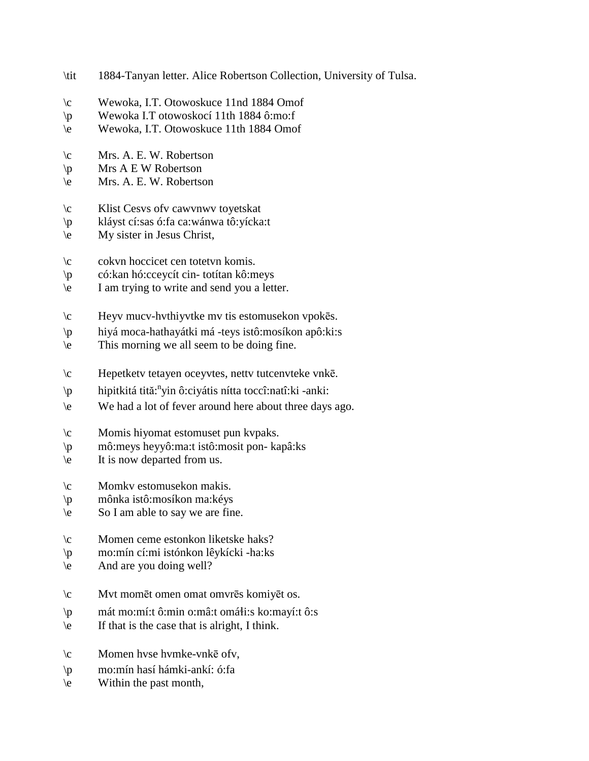| \tit                                             | 1884-Tanyan letter. Alice Robertson Collection, University of Tulsa.                                                                                                                    |
|--------------------------------------------------|-----------------------------------------------------------------------------------------------------------------------------------------------------------------------------------------|
| $\setminus c$<br>$\mathbf{p}$<br>$\backslash e$  | Wewoka, I.T. Otowoskuce 11nd 1884 Omof<br>Wewoka I.T otowoskocí 11th 1884 ô:mo:f<br>Wewoka, I.T. Otowoskuce 11th 1884 Omof                                                              |
| $\setminus c$<br>$\mathbf{p}$<br>$\backslash e$  | Mrs. A. E. W. Robertson<br>Mrs A E W Robertson<br>Mrs. A. E. W. Robertson                                                                                                               |
| $\setminus c$<br>$\mathbb{P}$<br>$\backslash e$  | Klist Cesys of v cawynwy to yetskat<br>kláyst cí:sas ó:fa ca:wánwa tô:yícka:t<br>My sister in Jesus Christ,                                                                             |
| $\setminus c$<br>$\mathsf{p}$<br>$\backslash e$  | cokvn hoccicet cen totetvn komis.<br>có: kan hó: cceycít cin-totítan kô: meys<br>I am trying to write and send you a letter.                                                            |
| $\setminus c$<br>$\mathsf{p}$<br>$\backslash e$  | Heyv mucv-hvthiyvtke mv tis estomusekon vpokēs.<br>hiyá moca-hathayátki má -teys istô:mosíkon apô: ki: s<br>This morning we all seem to be doing fine.                                  |
| $\setminus c$<br>$\mathsf{p}$<br>$\setminus e$   | Hepetkety tetayen oceyvtes, netty tutcenvteke vnke.<br>hipitkitá tită: <sup>n</sup> yin ô:ciyátis nítta toccî:natî:ki -anki:<br>We had a lot of fever around here about three days ago. |
| $\setminus c$<br>$\mathcal{P}$<br>$\setminus e$  | Momis hiyomat estomuset pun kvpaks.<br>mô:meys heyyô:ma:t istô:mosit pon- kapâ:ks<br>It is now departed from us.                                                                        |
| $\setminus c$<br>$\mathbf{p}$<br>$\backslash e$  | Momkv estomusekon makis.<br>mônka istô:mosíkon ma:kéys<br>So I am able to say we are fine.                                                                                              |
| $\setminus c$<br>$\mathsf{p}$<br>$\setminus e$   | Momen ceme estonkon liketske haks?<br>mo:mín cí:mi istónkon lêykícki -ha:ks<br>And are you doing well?                                                                                  |
| $\setminus c$<br>$\mathsf{p}$<br>$\backslash e$  | Mvt momēt omen omat omvrēs komiyēt os.<br>mát mo:mí:t ô:min o:mâ:t omáli:s ko:mayí:t ô:s<br>If that is the case that is alright, I think.                                               |
| $\setminus c$<br>$\mathcal{P}$<br>$\backslash e$ | Momen hvse hvmke-vnkē ofv,<br>mo: mín hasí hámki-ankí: ó: fa<br>Within the past month,                                                                                                  |
|                                                  |                                                                                                                                                                                         |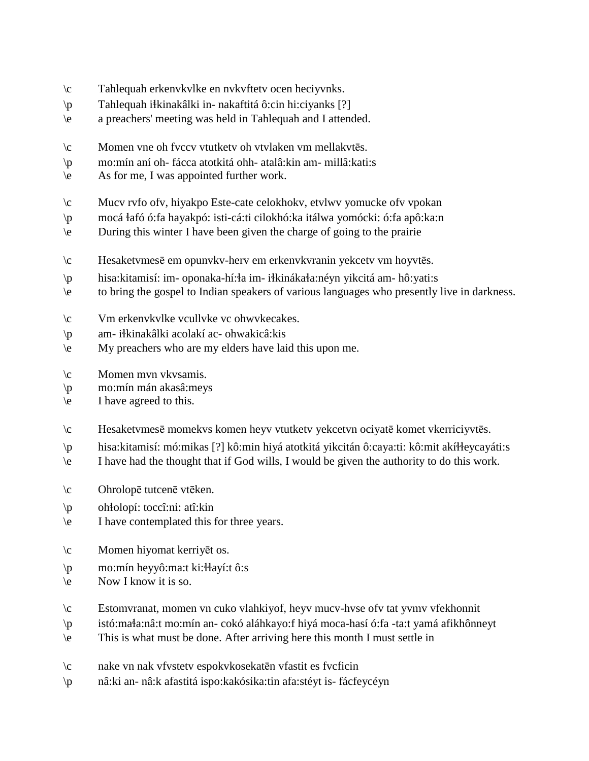- \c Tahlequah erkenvkvlke en nvkvftetv ocen heciyvnks.
- $\pi$  Tahlequah i $\frac{1}{2}$ kinakâlki in-nakaftitá ô:cin hi:ciyanks [?]
- \e a preachers' meeting was held in Tahlequah and I attended.
- \c Momen vne oh fvccv vtutketv oh vtvlaken vm mellakvtēs.
- \p mo:mín aní oh- fácca atotkitá ohh- atalâ:kin am- millâ:kati:s
- \e As for me, I was appointed further work.
- \c Mucv rvfo ofv, hiyakpo Este-cate celokhokv, etvlwv yomucke ofv vpokan
- \p mocá !afó ó:fa hayakpó: isti-cá:ti cilokhó:ka itálwa yomócki: ó:fa apô:ka:n
- \e During this winter I have been given the charge of going to the prairie
- \c Hesaketvmesē em opunvkv-herv em erkenvkvranin yekcetv vm hoyvtēs.
- \p hisa:kitamisí: im- oponaka-hí:!a im- i!kináka!a:néyn yikcitá am- hô:yati:s
- \e to bring the gospel to Indian speakers of various languages who presently live in darkness.
- \c Vm erkenvkvlke vcullvke vc ohwvkecakes.
- \p am- i!kinakâlki acolakí ac- ohwakicâ:kis
- \e My preachers who are my elders have laid this upon me.
- \c Momen mvn vkvsamis.
- \p mo:mín mán akasâ:meys
- \e I have agreed to this.
- \c Hesaketvmesē momekvs komen heyv vtutketv yekcetvn ociyatē komet vkerriciyvtēs.
- \p hisa:kitamisí: mó:mikas [?] kô:min hiyá atotkitá yikcitán ô:caya:ti: kô:mit akí!!eycayáti:s
- \e I have had the thought that if God wills, I would be given the authority to do this work.
- \c Ohrolopē tutcenē vtēken.
- \p oh!olopí: toccî:ni: atî:kin
- \e I have contemplated this for three years.
- \c Momen hiyomat kerriyēt os.
- \p mo:mín heyyô:ma:t ki:!!ayí:t ô:s
- \e Now I know it is so.
- \c Estomvranat, momen vn cuko vlahkiyof, heyv mucv-hvse ofv tat yvmv vfekhonnit
- \p istó:ma!a:nâ:t mo:mín an- cokó aláhkayo:f hiyá moca-hasí ó:fa -ta:t yamá afikhônneyt
- \e This is what must be done. After arriving here this month I must settle in
- \c nake vn nak vfvstetv espokvkosekatēn vfastit es fvcficin
- \p nâ:ki an- nâ:k afastitá ispo:kakósika:tin afa:stéyt is- fácfeycéyn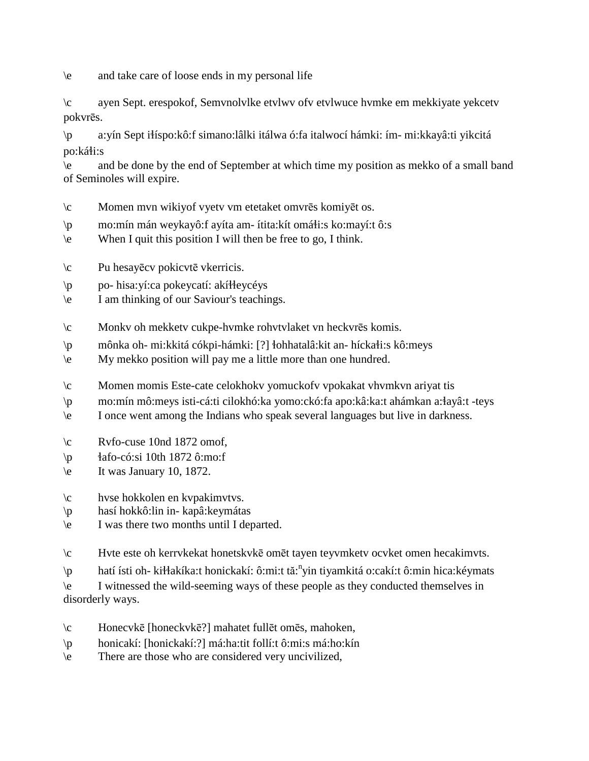\e and take care of loose ends in my personal life

\c ayen Sept. erespokof, Semvnolvlke etvlwv ofv etvlwuce hvmke em mekkiyate yekcetv pokvrēs.

\p a:yín Sept i!íspo:kô:f simano:lâlki itálwa ó:fa italwocí hámki: ím- mi:kkayâ:ti yikcitá po:káłi:s

\e and be done by the end of September at which time my position as mekko of a small band of Seminoles will expire.

- \c Momen mvn wikiyof vyetv vm etetaket omvrēs komiyēt os.
- $\pi$  mo:mín mán weykayô:f ayíta am- ítita:kít omá $\pi$ i:s ko:mayí:t ô:s
- \e When I quit this position I will then be free to go, I think.
- \c Pu hesayēcv pokicvtē vkerricis.
- $\mathbf{p}$  po- hisa: yí:ca pokeycatí: akí Heycéys
- \e I am thinking of our Saviour's teachings.
- \c Monkv oh mekketv cukpe-hvmke rohvtvlaket vn heckvrēs komis.
- \p mônka oh- mi:kkitá cókpi-hámki: [?] !ohhatalâ:kit an- hícka!i:s kô:meys
- \e My mekko position will pay me a little more than one hundred.
- \c Momen momis Este-cate celokhokv yomuckofv vpokakat vhvmkvn ariyat tis
- \p mo:mín mô:meys isti-cá:ti cilokhó:ka yomo:ckó:fa apo:kâ:ka:t ahámkan a:!ayâ:t -teys
- \e I once went among the Indians who speak several languages but live in darkness.
- $\c$  Ryfo-cuse 10nd 1872 omof.
- $\pi$  | afo-có:si 10th 1872 ô:mo:f
- $\text{let}$  It was January 10, 1872.
- \c hvse hokkolen en kvpakimvtvs.
- \p hasí hokkô:lin in- kapâ:keymátas
- \e I was there two months until I departed.
- \c Hvte este oh kerrvkekat honetskvkē omēt tayen teyvmketv ocvket omen hecakimvts.
- \p hatí ísti oh- kiłłakíka:t honickakí: ô:mi:t tă:<sup>n</sup>yin tiyamkitá o:cakí:t ô:min hica:kéymats
- \e I witnessed the wild-seeming ways of these people as they conducted themselves in disorderly ways.
- \c Honecvkē [honeckvkē?] mahatet fullēt omēs, mahoken,
- \p honicakí: [honickakí:?] má:ha:tit follí:t ô:mi:s má:ho:kín
- \e There are those who are considered very uncivilized,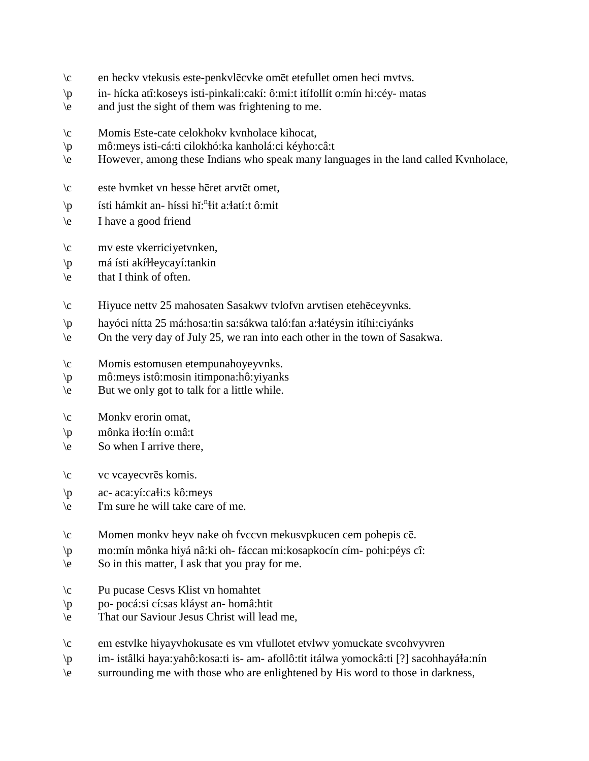- \c en heckv vtekusis este-penkvlēcvke omēt etefullet omen heci mvtvs.
- \p in- hícka atî:koseys isti-pinkali:cakí: ô:mi:t itífollít o:mín hi:céy- matas
- \e and just the sight of them was frightening to me.
- \c Momis Este-cate celokhokv kvnholace kihocat,
- \p mô:meys isti-cá:ti cilokhó:ka kanholá:ci kéyho:câ:t
- \e However, among these Indians who speak many languages in the land called Kvnholace,
- \c este hvmket vn hesse hēret arvtēt omet,
- \p fsti hámkit an- híssi hĭ:<sup>n</sup>łit a:łatí:t ô:mit
- \e I have a good friend
- \c mv este vkerriciyetvnken,
- \p má ísti akí!!eycayí:tankin
- \e that I think of often.
- \c Hiyuce nettv 25 mahosaten Sasakwv tvlofvn arvtisen etehēceyvnks.
- \p hayóci nítta 25 má:hosa:tin sa:sákwa taló:fan a:!atéysin itíhi:ciyánks
- \e On the very day of July 25, we ran into each other in the town of Sasakwa.
- \c Momis estomusen etempunahoyeyvnks.
- \p mô:meys istô:mosin itimpona:hô:yiyanks
- \e But we only got to talk for a little while.
- $\c$  Monkv erorin omat,
- \p mônka i!o:!ín o:mâ:t
- \e So when I arrive there,
- \c vc vcayecvrēs komis.
- $\pi$  ac- aca:yí:ca $\pi$ i:s kô:meys
- \e I'm sure he will take care of me.
- \c Momen monkv heyv nake oh fvccvn mekusvpkucen cem pohepis cē.
- \p mo:mín mônka hiyá nâ:ki oh- fáccan mi:kosapkocín cím- pohi:péys cî:
- \e So in this matter, I ask that you pray for me.
- \c Pu pucase Cesvs Klist vn homahtet
- \p po- pocá:si cí:sas kláyst an- homâ:htit
- \e That our Saviour Jesus Christ will lead me,
- \c em estvlke hiyayvhokusate es vm vfullotet etvlwv yomuckate svcohvyvren
- $\pi$  im- istâlki haya:yahô:kosa:ti is- am- afollô:tit itálwa yomockâ:ti [?] sacohhayá $a$ :nín
- \e surrounding me with those who are enlightened by His word to those in darkness,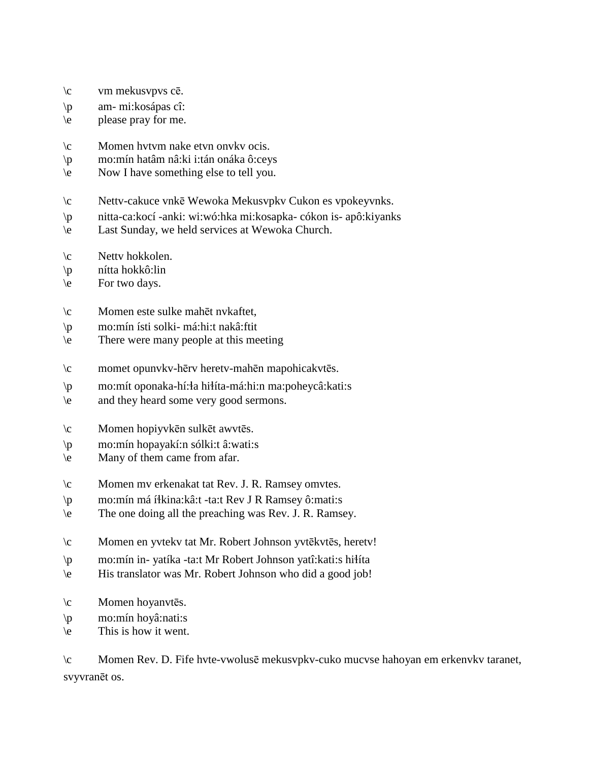- \c vm mekusvpvs cē.
- \p am- mi:kosápas cî:
- $\le$  please pray for me.
- \c Momen hvtvm nake etvn onvkv ocis.
- \p mo:mín hatâm nâ:ki i:tán onáka ô:ceys
- \e Now I have something else to tell you.
- \c Nettv-cakuce vnkē Wewoka Mekusvpkv Cukon es vpokeyvnks.
- \p nitta-ca:kocí -anki: wi:wó:hka mi:kosapka- cókon is- apô:kiyanks
- \e Last Sunday, we held services at Wewoka Church.
- \c Nettv hokkolen.
- \p nítta hokkô:lin
- \e For two days.
- \c Momen este sulke mahēt nvkaftet,
- \p mo:mín ísti solki- má:hi:t nakâ:ftit
- \e There were many people at this meeting
- \c momet opunvkv-hērv heretv-mahēn mapohicakvtēs.
- \p mo:mít oponaka-hí:!a hi!íta-má:hi:n ma:poheycâ:kati:s
- \e and they heard some very good sermons.
- \c Momen hopiyvkēn sulkēt awvtēs.
- \p mo:mín hopayakí:n sólki:t â:wati:s
- \e Many of them came from afar.
- \c Momen mv erkenakat tat Rev. J. R. Ramsey omvtes.
- \p mo:mín má í!kina:kâ:t -ta:t Rev J R Ramsey ô:mati:s
- \e The one doing all the preaching was Rev. J. R. Ramsey.
- \c Momen en yvtekv tat Mr. Robert Johnson yvtēkvtēs, heretv!
- \p mo:mín in- yatíka -ta:t Mr Robert Johnson yatî:kati:s hi!íta
- \e His translator was Mr. Robert Johnson who did a good job!
- \c Momen hoyanvtēs.
- \p mo:mín hoyâ:nati:s
- \e This is how it went.

\c Momen Rev. D. Fife hvte-vwolusē mekusvpkv-cuko mucvse hahoyan em erkenvkv taranet, svyvranēt os.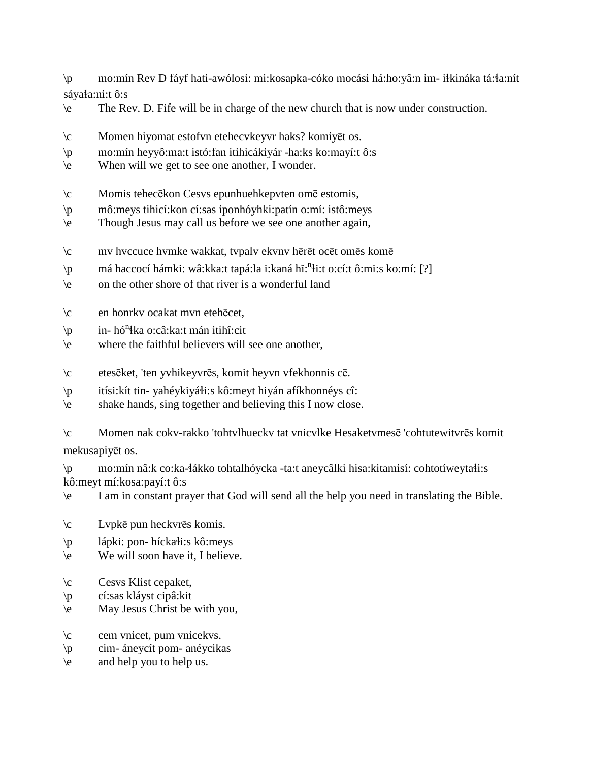$\mathsf{p}$ mo:mín Rev D fáyf hati-awólosi: mi:kosapka-cóko mocási há:ho:yâ:n im- iłkináka tá:ła:nít sáyała:ni:t ô:s

- The Rev. D. Fife will be in charge of the new church that is now under construction.  $\backslash e$
- $\setminus c$ Momen hiyomat estofyn etehecykeyyr haks? komiyēt os.
- mo:mín heyyô:ma:t istó:fan itihicákiyár -ha:ks ko:mayí:t ô:s  $\mathsf{p}$
- When will we get to see one another, I wonder.  $\left\langle e\right\rangle$
- Momis tehecēkon Cesvs epunhuehkepvten omē estomis,  $\setminus c$
- mô:meys tihicí: kon cí: sas iponhóyhki: patín o: mí: istô: meys  $\mathsf{p}$
- Though Jesus may call us before we see one another again,  $\backslash e$
- mv hvccuce hvmke wakkat, tvpalv ekvnv hērēt ocēt omēs komē  $\setminus c$
- má haccocí hámki: wâ:kka:t tapá:la i:kaná hǐ:<sup>n</sup>łi:t o:cí:t ô:mi:s ko:mí: [?]  $\mathsf{p}$
- $\vee$ on the other shore of that river is a wonderful land
- en honrkv ocakat mvn etehēcet,  $\setminus c$
- in- hó<sup>n</sup>łka o:câ:ka:t mán itihî:cit  $\mathsf{p}$
- where the faithful believers will see one another,  $\vee$
- etesēket, 'ten yvhikeyvrēs, komit heyvn vfekhonnis cē.  $\setminus c$
- itísi: kít tin-yahéy kiyáti: s kô: meyt hiyán afíkhonnéys cî:  $\mathsf{p}$
- shake hands, sing together and believing this I now close.  $\vee$

 $\setminus c$ Momen nak cokv-rakko 'tohtvlhuecky tat vnicvlke Hesaketymesē 'cohtutewityrēs komit mekusapiyēt os.

mo:mín nâ:k co:ka-łákko tohtalhóycka -ta:t aneycâlki hisa:kitamisí: cohtotíweytałi:s  $\mathcal{D}$ kô: meyt mí: kosa: payí: tô: s

I am in constant prayer that God will send all the help you need in translating the Bible.  $\left\langle e\right\rangle$ 

- $\setminus c$ Lvpkē pun heckvrēs komis.
- lápki: pon- híckałi:s kô:meys  $\mathcal{D}$
- We will soon have it, I believe.  $\vee$
- $\sqrt{c}$ Cesys Klist cepaket,
- cí:sas kláyst cipâ:kit  $\sqrt{p}$
- May Jesus Christ be with you,  $\vee$
- cem vnicet, pum vnicekvs.  $\setminus c$
- cim- áneycít pom- anéycikas  $\mathsf{p}$
- and help you to help us.  $\vee$